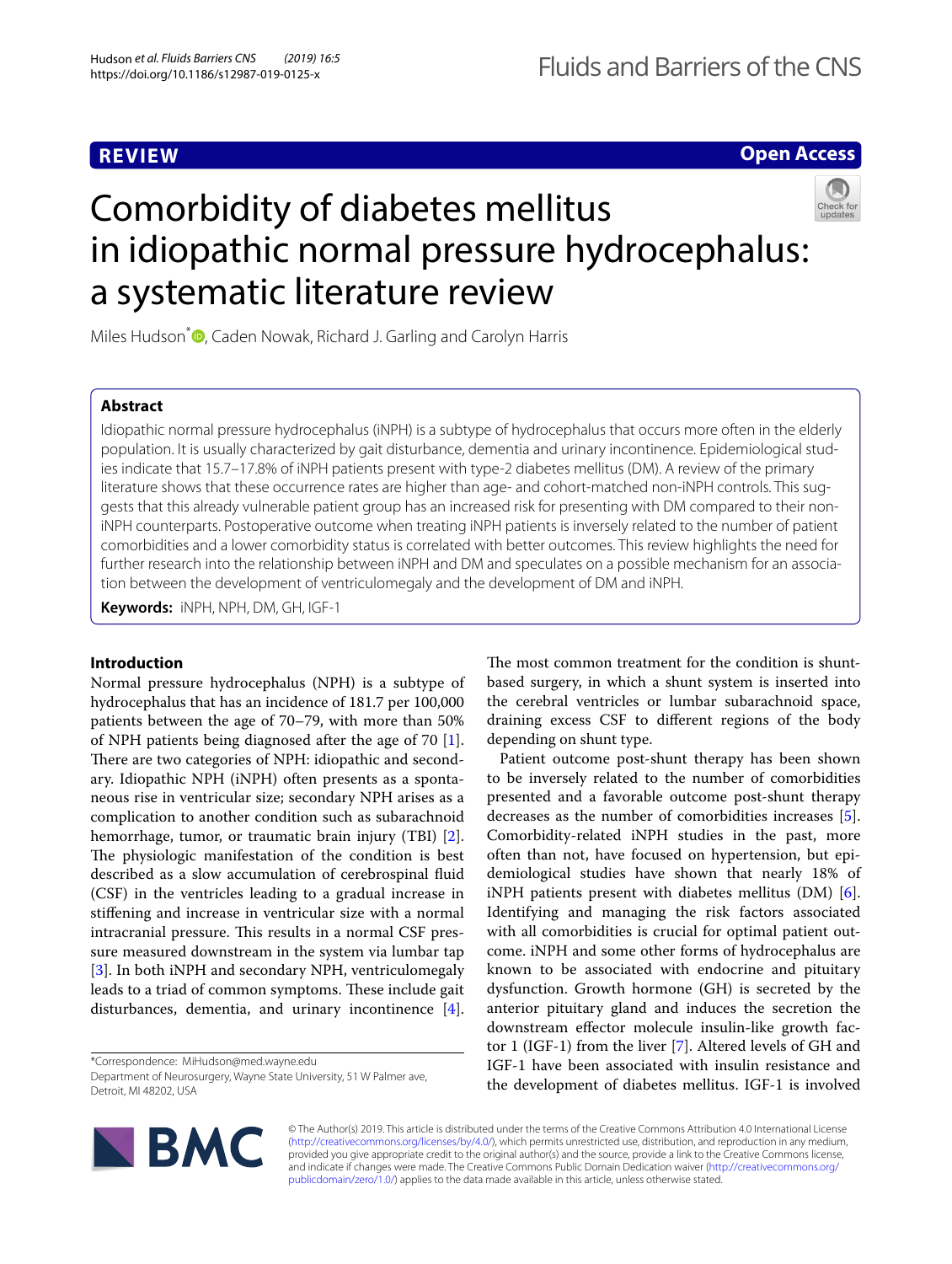## **REVIEW**

**Open Access**

# Comorbidity of diabetes mellitus in idiopathic normal pressure hydrocephalus: a systematic literature review



Miles Hudson<sup>\*</sup><sup>O</sup>[,](http://orcid.org/0000-0002-4332-5150) Caden Nowak, Richard J. Garling and Carolyn Harris

## **Abstract**

Idiopathic normal pressure hydrocephalus (iNPH) is a subtype of hydrocephalus that occurs more often in the elderly population. It is usually characterized by gait disturbance, dementia and urinary incontinence. Epidemiological studies indicate that 15.7–17.8% of iNPH patients present with type-2 diabetes mellitus (DM). A review of the primary literature shows that these occurrence rates are higher than age- and cohort-matched non-iNPH controls. This suggests that this already vulnerable patient group has an increased risk for presenting with DM compared to their noniNPH counterparts. Postoperative outcome when treating iNPH patients is inversely related to the number of patient comorbidities and a lower comorbidity status is correlated with better outcomes. This review highlights the need for further research into the relationship between iNPH and DM and speculates on a possible mechanism for an association between the development of ventriculomegaly and the development of DM and iNPH.

**Keywords:** iNPH, NPH, DM, GH, IGF-1

## **Introduction**

Normal pressure hydrocephalus (NPH) is a subtype of hydrocephalus that has an incidence of 181.7 per 100,000 patients between the age of 70–79, with more than 50% of NPH patients being diagnosed after the age of 70 [\[1](#page-4-0)]. There are two categories of NPH: idiopathic and secondary. Idiopathic NPH (iNPH) often presents as a spontaneous rise in ventricular size; secondary NPH arises as a complication to another condition such as subarachnoid hemorrhage, tumor, or traumatic brain injury (TBI) [\[2](#page-4-1)]. The physiologic manifestation of the condition is best described as a slow accumulation of cerebrospinal fuid (CSF) in the ventricles leading to a gradual increase in stifening and increase in ventricular size with a normal intracranial pressure. This results in a normal CSF pressure measured downstream in the system via lumbar tap [[3\]](#page-4-2). In both iNPH and secondary NPH, ventriculomegaly leads to a triad of common symptoms. These include gait disturbances, dementia, and urinary incontinence [\[4](#page-4-3)].

\*Correspondence: MiHudson@med.wayne.edu

Department of Neurosurgery, Wayne State University, 51 W Palmer ave, Detroit, MI 48202, USA

The most common treatment for the condition is shuntbased surgery, in which a shunt system is inserted into the cerebral ventricles or lumbar subarachnoid space, draining excess CSF to diferent regions of the body depending on shunt type.

Patient outcome post-shunt therapy has been shown to be inversely related to the number of comorbidities presented and a favorable outcome post-shunt therapy decreases as the number of comorbidities increases [\[5](#page-4-4)]. Comorbidity-related iNPH studies in the past, more often than not, have focused on hypertension, but epidemiological studies have shown that nearly 18% of iNPH patients present with diabetes mellitus (DM) [\[6](#page-4-5)]. Identifying and managing the risk factors associated with all comorbidities is crucial for optimal patient outcome. iNPH and some other forms of hydrocephalus are known to be associated with endocrine and pituitary dysfunction. Growth hormone (GH) is secreted by the anterior pituitary gland and induces the secretion the downstream efector molecule insulin-like growth factor 1 (IGF-1) from the liver [\[7](#page-4-6)]. Altered levels of GH and IGF-1 have been associated with insulin resistance and the development of diabetes mellitus. IGF-1 is involved

© The Author(s) 2019. This article is distributed under the terms of the Creative Commons Attribution 4.0 International License [\(http://creativecommons.org/licenses/by/4.0/\)](http://creativecommons.org/licenses/by/4.0/), which permits unrestricted use, distribution, and reproduction in any medium, provided you give appropriate credit to the original author(s) and the source, provide a link to the Creative Commons license, and indicate if changes were made. The Creative Commons Public Domain Dedication waiver ([http://creativecommons.org/](http://creativecommons.org/publicdomain/zero/1.0/) [publicdomain/zero/1.0/](http://creativecommons.org/publicdomain/zero/1.0/)) applies to the data made available in this article, unless otherwise stated.

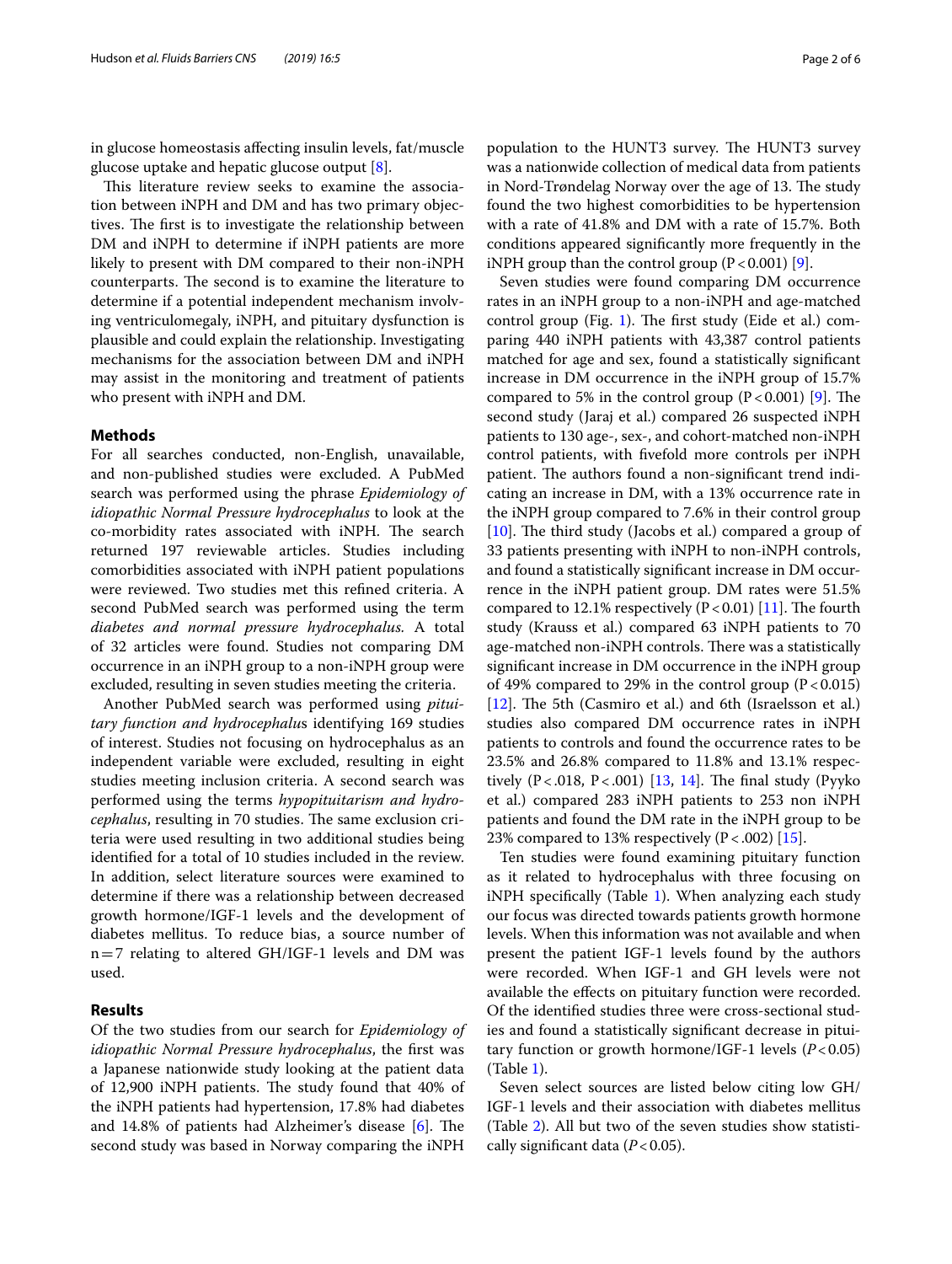in glucose homeostasis afecting insulin levels, fat/muscle glucose uptake and hepatic glucose output  $[8]$ .

This literature review seeks to examine the association between iNPH and DM and has two primary objectives. The first is to investigate the relationship between DM and iNPH to determine if iNPH patients are more likely to present with DM compared to their non-iNPH counterparts. The second is to examine the literature to determine if a potential independent mechanism involving ventriculomegaly, iNPH, and pituitary dysfunction is plausible and could explain the relationship. Investigating mechanisms for the association between DM and iNPH may assist in the monitoring and treatment of patients who present with iNPH and DM.

#### **Methods**

For all searches conducted, non-English, unavailable, and non-published studies were excluded. A PubMed search was performed using the phrase *Epidemiology of idiopathic Normal Pressure hydrocephalus* to look at the co-morbidity rates associated with iNPH. The search returned 197 reviewable articles. Studies including comorbidities associated with iNPH patient populations were reviewed. Two studies met this refned criteria. A second PubMed search was performed using the term *diabetes and normal pressure hydrocephalus.* A total of 32 articles were found. Studies not comparing DM occurrence in an iNPH group to a non-iNPH group were excluded, resulting in seven studies meeting the criteria.

Another PubMed search was performed using *pituitary function and hydrocephalu*s identifying 169 studies of interest. Studies not focusing on hydrocephalus as an independent variable were excluded, resulting in eight studies meeting inclusion criteria. A second search was performed using the terms *hypopituitarism and hydrocephalus*, resulting in 70 studies. The same exclusion criteria were used resulting in two additional studies being identifed for a total of 10 studies included in the review. In addition, select literature sources were examined to determine if there was a relationship between decreased growth hormone/IGF-1 levels and the development of diabetes mellitus. To reduce bias, a source number of  $n=7$  relating to altered GH/IGF-1 levels and DM was used.

### **Results**

Of the two studies from our search for *Epidemiology of idiopathic Normal Pressure hydrocephalus*, the frst was a Japanese nationwide study looking at the patient data of 12,900 iNPH patients. The study found that 40% of the iNPH patients had hypertension, 17.8% had diabetes and 14.8% of patients had Alzheimer's disease  $[6]$  $[6]$ . The second study was based in Norway comparing the iNPH

population to the HUNT3 survey. The HUNT3 survey was a nationwide collection of medical data from patients in Nord-Trøndelag Norway over the age of 13. The study found the two highest comorbidities to be hypertension with a rate of 41.8% and DM with a rate of 15.7%. Both conditions appeared signifcantly more frequently in the iNPH group than the control group  $(P<0.001)$  [[9\]](#page-4-8).

Seven studies were found comparing DM occurrence rates in an iNPH group to a non-iNPH and age-matched control group (Fig. [1](#page-2-0)). The first study (Eide et al.) comparing 440 iNPH patients with 43,387 control patients matched for age and sex, found a statistically signifcant increase in DM occurrence in the iNPH group of 15.7% compared to 5% in the control group  $(P<0.001)$  [[9\]](#page-4-8). The second study (Jaraj et al.) compared 26 suspected iNPH patients to 130 age-, sex-, and cohort-matched non-iNPH control patients, with fvefold more controls per iNPH patient. The authors found a non-significant trend indicating an increase in DM, with a 13% occurrence rate in the iNPH group compared to 7.6% in their control group [[10\]](#page-4-9). The third study (Jacobs et al.) compared a group of 33 patients presenting with iNPH to non-iNPH controls, and found a statistically signifcant increase in DM occurrence in the iNPH patient group. DM rates were 51.5% compared to 12.1% respectively  $(P < 0.01)$  [[11](#page-4-10)]. The fourth study (Krauss et al.) compared 63 iNPH patients to 70 age-matched non-iNPH controls. There was a statistically signifcant increase in DM occurrence in the iNPH group of 49% compared to 29% in the control group  $(P < 0.015)$ [[12\]](#page-4-11). The 5th (Casmiro et al.) and 6th (Israelsson et al.) studies also compared DM occurrence rates in iNPH patients to controls and found the occurrence rates to be 23.5% and 26.8% compared to 11.8% and 13.1% respectively  $(P < .018, P < .001)$  [[13,](#page-4-12) [14](#page-4-13)]. The final study (Pyyko et al.) compared 283 iNPH patients to 253 non iNPH patients and found the DM rate in the iNPH group to be 23% compared to 13% respectively  $(P < .002)$  [[15](#page-4-14)].

Ten studies were found examining pituitary function as it related to hydrocephalus with three focusing on iNPH specifcally (Table [1\)](#page-2-1). When analyzing each study our focus was directed towards patients growth hormone levels. When this information was not available and when present the patient IGF-1 levels found by the authors were recorded. When IGF-1 and GH levels were not available the efects on pituitary function were recorded. Of the identifed studies three were cross-sectional studies and found a statistically signifcant decrease in pituitary function or growth hormone/IGF-1 levels (*P*<0.05) (Table [1\)](#page-2-1).

Seven select sources are listed below citing low GH/ IGF-1 levels and their association with diabetes mellitus (Table [2](#page-3-0)). All but two of the seven studies show statistically signifcant data (*P*<0.05).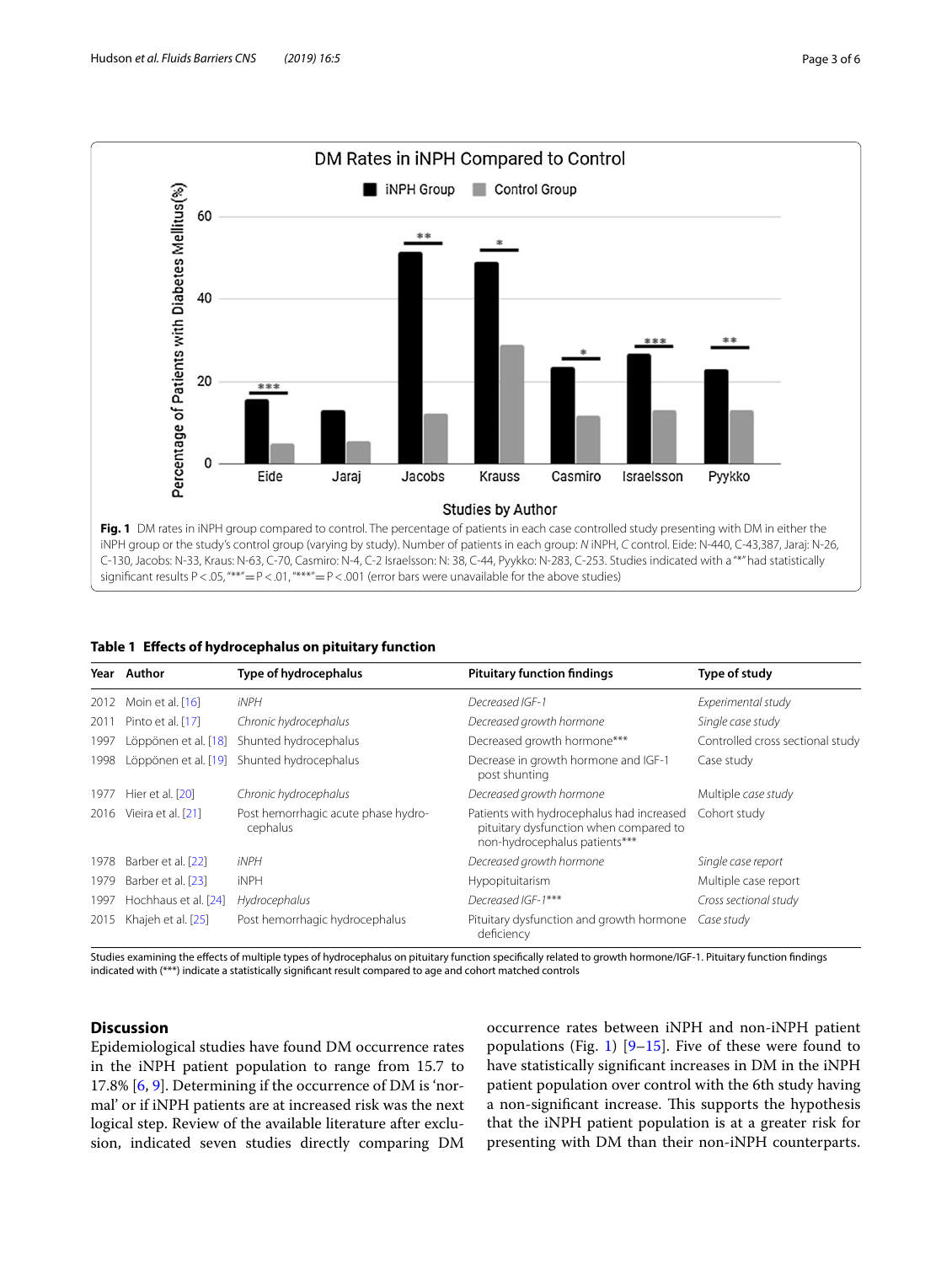

#### <span id="page-2-1"></span><span id="page-2-0"></span>**Table 1 Efects of hydrocephalus on pituitary function**

|      | Year Author          | Type of hydrocephalus                           | <b>Pituitary function findings</b>                                                                                   | Type of study                    |
|------|----------------------|-------------------------------------------------|----------------------------------------------------------------------------------------------------------------------|----------------------------------|
| 2012 | Moin et al. [16]     | <i>iNPH</i>                                     | Decreased IGF-1                                                                                                      | Experimental study               |
| 2011 | Pinto et al. [17]    | Chronic hydrocephalus                           | Decreased growth hormone                                                                                             | Single case study                |
| 1997 | Löppönen et al. [18] | Shunted hydrocephalus                           | Decreased growth hormone***                                                                                          | Controlled cross sectional study |
| 1998 | Löppönen et al. [19] | Shunted hydrocephalus                           | Decrease in growth hormone and IGF-1<br>post shunting                                                                | Case study                       |
| 1977 | Hier et al. [20]     | Chronic hydrocephalus                           | Decreased growth hormone                                                                                             | Multiple case study              |
| 2016 | Vieira et al. [21]   | Post hemorrhagic acute phase hydro-<br>cephalus | Patients with hydrocephalus had increased<br>pituitary dysfunction when compared to<br>non-hydrocephalus patients*** | Cohort study                     |
| 1978 | Barber et al. [22]   | <b>iNPH</b>                                     | Decreased growth hormone                                                                                             | Single case report               |
| 1979 | Barber et al. [23]   | <b>iNPH</b>                                     | Hypopituitarism                                                                                                      | Multiple case report             |
| 1997 | Hochhaus et al. [24] | Hydrocephalus                                   | Decreased IGF-1***                                                                                                   | Cross sectional study            |
| 2015 | Khajeh et al. [25]   | Post hemorrhagic hydrocephalus                  | Pituitary dysfunction and growth hormone<br>deficiency                                                               | Case study                       |

Studies examining the efects of multiple types of hydrocephalus on pituitary function specifcally related to growth hormone/IGF-1. Pituitary function fndings indicated with (\*\*\*) indicate a statistically signifcant result compared to age and cohort matched controls

## **Discussion**

Epidemiological studies have found DM occurrence rates in the iNPH patient population to range from 15.7 to 17.8% [[6,](#page-4-5) [9](#page-4-8)]. Determining if the occurrence of DM is 'normal' or if iNPH patients are at increased risk was the next logical step. Review of the available literature after exclusion, indicated seven studies directly comparing DM occurrence rates between iNPH and non-iNPH patient populations (Fig. [1](#page-2-0))  $[9-15]$  $[9-15]$  $[9-15]$ . Five of these were found to have statistically signifcant increases in DM in the iNPH patient population over control with the 6th study having a non-significant increase. This supports the hypothesis that the iNPH patient population is at a greater risk for presenting with DM than their non-iNPH counterparts.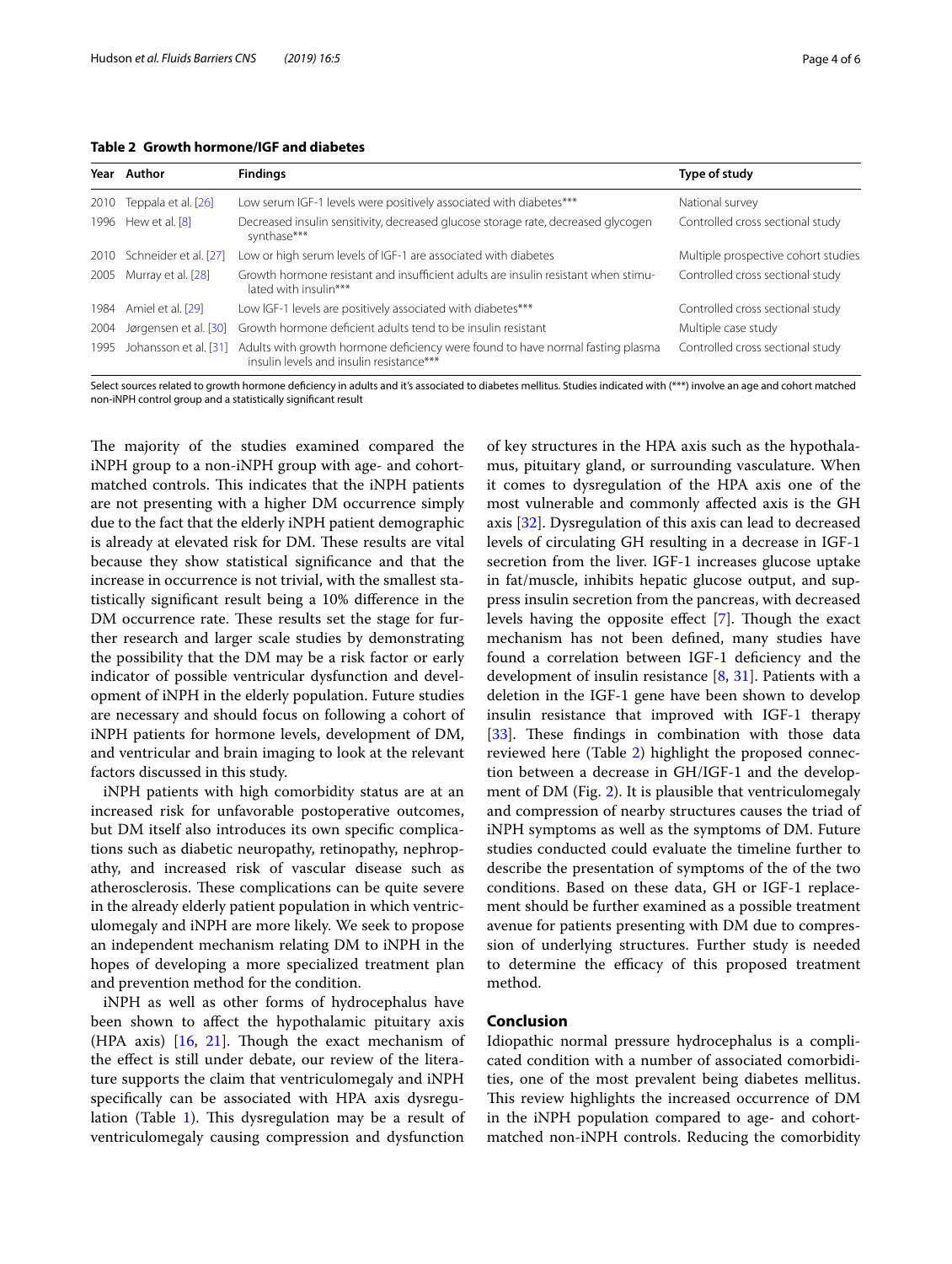<span id="page-3-0"></span>**Table 2 Growth hormone/IGF and diabetes**

|      | Year Author            | <b>Findings</b>                                                                                                            | Type of study                       |
|------|------------------------|----------------------------------------------------------------------------------------------------------------------------|-------------------------------------|
| 2010 | Teppala et al. [26]    | Low serum IGF-1 levels were positively associated with diabetes***                                                         | National survey                     |
|      | 1996 Hew et al. [8]    | Decreased insulin sensitivity, decreased glucose storage rate, decreased glycogen<br>synthase***                           | Controlled cross sectional study    |
| 2010 | Schneider et al. [27]  | Low or high serum levels of IGF-1 are associated with diabetes                                                             | Multiple prospective cohort studies |
| 2005 | Murray et al. [28]     | Growth hormone resistant and insufficient adults are insulin resistant when stimu-<br>lated with insulin***                | Controlled cross sectional study    |
|      | 1984 Amiel et al. [29] | Low IGF-1 levels are positively associated with diabetes***                                                                | Controlled cross sectional study    |
| 2004 | Jørgensen et al. [30]  | Growth hormone deficient adults tend to be insulin resistant                                                               | Multiple case study                 |
| 1995 | Johansson et al. [31]  | Adults with growth hormone deficiency were found to have normal fasting plasma<br>insulin levels and insulin resistance*** | Controlled cross sectional study    |

Select sources related to growth hormone defciency in adults and it's associated to diabetes mellitus. Studies indicated with (\*\*\*) involve an age and cohort matched non-iNPH control group and a statistically signifcant result

The majority of the studies examined compared the iNPH group to a non-iNPH group with age- and cohortmatched controls. This indicates that the iNPH patients are not presenting with a higher DM occurrence simply due to the fact that the elderly iNPH patient demographic is already at elevated risk for DM. These results are vital because they show statistical signifcance and that the increase in occurrence is not trivial, with the smallest statistically signifcant result being a 10% diference in the DM occurrence rate. These results set the stage for further research and larger scale studies by demonstrating the possibility that the DM may be a risk factor or early indicator of possible ventricular dysfunction and development of iNPH in the elderly population. Future studies are necessary and should focus on following a cohort of iNPH patients for hormone levels, development of DM, and ventricular and brain imaging to look at the relevant factors discussed in this study.

iNPH patients with high comorbidity status are at an increased risk for unfavorable postoperative outcomes, but DM itself also introduces its own specifc complications such as diabetic neuropathy, retinopathy, nephropathy, and increased risk of vascular disease such as atherosclerosis. These complications can be quite severe in the already elderly patient population in which ventriculomegaly and iNPH are more likely. We seek to propose an independent mechanism relating DM to iNPH in the hopes of developing a more specialized treatment plan and prevention method for the condition.

iNPH as well as other forms of hydrocephalus have been shown to afect the hypothalamic pituitary axis (HPA axis)  $[16, 21]$  $[16, 21]$  $[16, 21]$  $[16, 21]$ . Though the exact mechanism of the efect is still under debate, our review of the literature supports the claim that ventriculomegaly and iNPH specifcally can be associated with HPA axis dysregulation (Table  $1$ ). This dysregulation may be a result of ventriculomegaly causing compression and dysfunction of key structures in the HPA axis such as the hypothalamus, pituitary gland, or surrounding vasculature. When it comes to dysregulation of the HPA axis one of the most vulnerable and commonly afected axis is the GH axis [\[32](#page-5-10)]. Dysregulation of this axis can lead to decreased levels of circulating GH resulting in a decrease in IGF-1 secretion from the liver. IGF-1 increases glucose uptake in fat/muscle, inhibits hepatic glucose output, and suppress insulin secretion from the pancreas, with decreased levels having the opposite effect  $[7]$  $[7]$ . Though the exact mechanism has not been defned, many studies have found a correlation between IGF-1 defciency and the development of insulin resistance  $[8, 31]$  $[8, 31]$  $[8, 31]$ . Patients with a deletion in the IGF-1 gene have been shown to develop insulin resistance that improved with IGF-1 therapy [[33\]](#page-5-12). These findings in combination with those data reviewed here (Table [2\)](#page-3-0) highlight the proposed connection between a decrease in GH/IGF-1 and the development of DM (Fig. [2](#page-4-15)). It is plausible that ventriculomegaly and compression of nearby structures causes the triad of iNPH symptoms as well as the symptoms of DM. Future studies conducted could evaluate the timeline further to describe the presentation of symptoms of the of the two conditions. Based on these data, GH or IGF-1 replacement should be further examined as a possible treatment avenue for patients presenting with DM due to compression of underlying structures. Further study is needed to determine the efficacy of this proposed treatment method.

## **Conclusion**

Idiopathic normal pressure hydrocephalus is a complicated condition with a number of associated comorbidities, one of the most prevalent being diabetes mellitus. This review highlights the increased occurrence of DM in the iNPH population compared to age- and cohortmatched non-iNPH controls. Reducing the comorbidity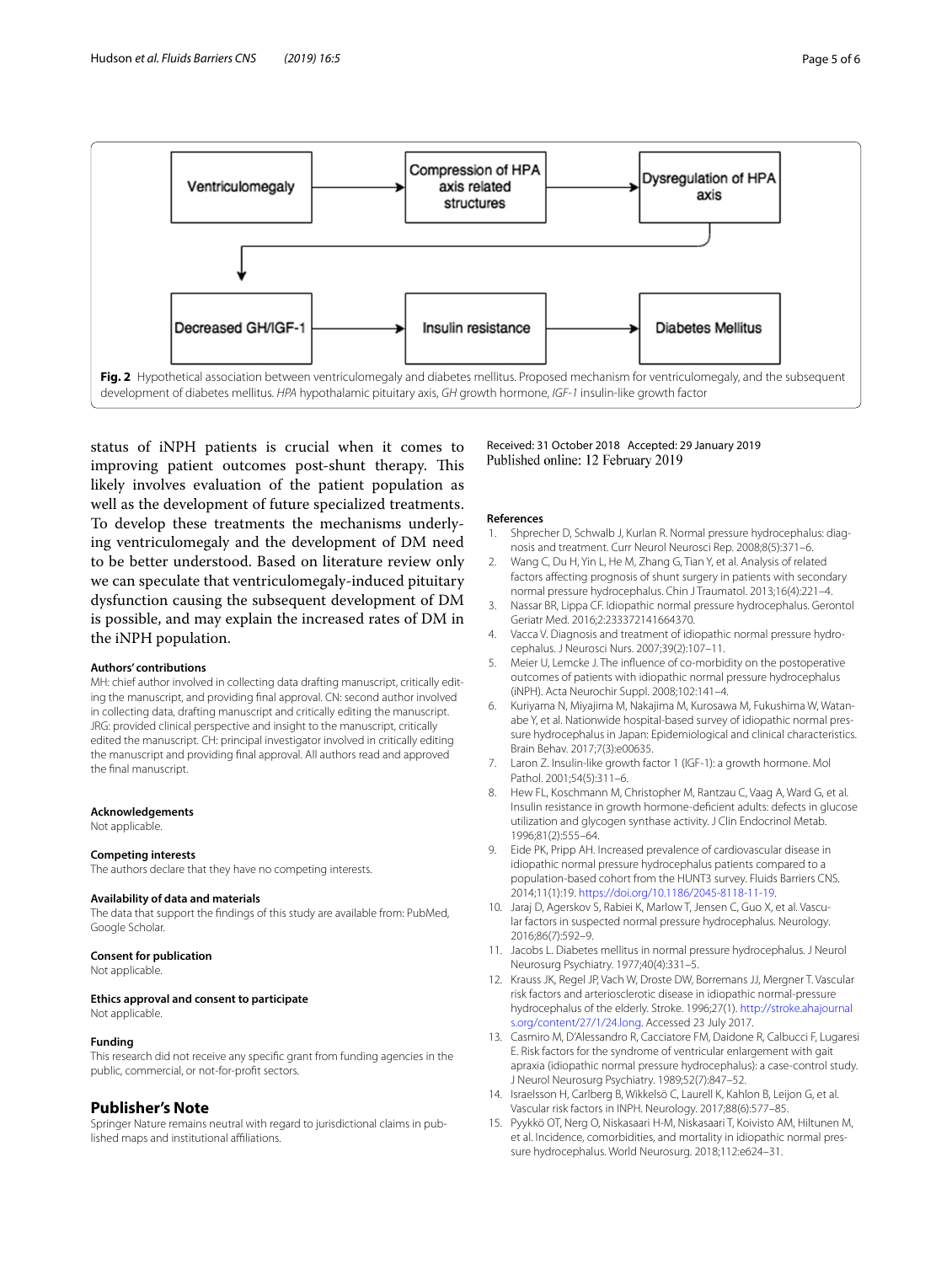

<span id="page-4-15"></span>status of iNPH patients is crucial when it comes to improving patient outcomes post-shunt therapy. This likely involves evaluation of the patient population as well as the development of future specialized treatments. To develop these treatments the mechanisms underlying ventriculomegaly and the development of DM need to be better understood. Based on literature review only we can speculate that ventriculomegaly-induced pituitary dysfunction causing the subsequent development of DM is possible, and may explain the increased rates of DM in the iNPH population.

#### **Authors' contributions**

MH: chief author involved in collecting data drafting manuscript, critically editing the manuscript, and providing fnal approval. CN: second author involved in collecting data, drafting manuscript and critically editing the manuscript. JRG: provided clinical perspective and insight to the manuscript, critically edited the manuscript. CH: principal investigator involved in critically editing the manuscript and providing fnal approval. All authors read and approved the fnal manuscript.

#### **Acknowledgements**

Not applicable.

#### **Competing interests**

The authors declare that they have no competing interests.

#### **Availability of data and materials**

The data that support the fndings of this study are available from: PubMed, Google Scholar.

#### **Consent for publication**

Not applicable.

#### **Ethics approval and consent to participate**

Not applicable.

## **Funding**

This research did not receive any specifc grant from funding agencies in the public, commercial, or not-for-proft sectors.

## **Publisher's Note**

Springer Nature remains neutral with regard to jurisdictional claims in published maps and institutional afliations.

Received: 31 October 2018 Accepted: 29 January 2019

#### **References**

- <span id="page-4-0"></span>1. Shprecher D, Schwalb J, Kurlan R. Normal pressure hydrocephalus: diagnosis and treatment. Curr Neurol Neurosci Rep. 2008;8(5):371–6.
- <span id="page-4-1"></span>2. Wang C, Du H, Yin L, He M, Zhang G, Tian Y, et al. Analysis of related factors affecting prognosis of shunt surgery in patients with secondary normal pressure hydrocephalus. Chin J Traumatol. 2013;16(4):221–4.
- <span id="page-4-2"></span>3. Nassar BR, Lippa CF. Idiopathic normal pressure hydrocephalus. Gerontol Geriatr Med. 2016;2:233372141664370.
- <span id="page-4-3"></span>4. Vacca V. Diagnosis and treatment of idiopathic normal pressure hydrocephalus. J Neurosci Nurs. 2007;39(2):107–11.
- <span id="page-4-4"></span>5. Meier U, Lemcke J. The infuence of co-morbidity on the postoperative outcomes of patients with idiopathic normal pressure hydrocephalus (iNPH). Acta Neurochir Suppl. 2008;102:141–4.
- <span id="page-4-5"></span>6. Kuriyama N, Miyajima M, Nakajima M, Kurosawa M, Fukushima W, Watanabe Y, et al. Nationwide hospital-based survey of idiopathic normal pressure hydrocephalus in Japan: Epidemiological and clinical characteristics. Brain Behav. 2017;7(3):e00635.
- <span id="page-4-6"></span>7. Laron Z. Insulin-like growth factor 1 (IGF-1): a growth hormone. Mol Pathol. 2001;54(5):311–6.
- <span id="page-4-7"></span>8. Hew FL, Koschmann M, Christopher M, Rantzau C, Vaag A, Ward G, et al. Insulin resistance in growth hormone-defcient adults: defects in glucose utilization and glycogen synthase activity. J Clin Endocrinol Metab. 1996;81(2):555–64.
- <span id="page-4-8"></span>9. Eide PK, Pripp AH. Increased prevalence of cardiovascular disease in idiopathic normal pressure hydrocephalus patients compared to a population-based cohort from the HUNT3 survey. Fluids Barriers CNS. 2014;11(1):19. [https://doi.org/10.1186/2045-8118-11-19.](https://doi.org/10.1186/2045-8118-11-19)
- <span id="page-4-9"></span>10. Jaraj D, Agerskov S, Rabiei K, Marlow T, Jensen C, Guo X, et al. Vascular factors in suspected normal pressure hydrocephalus. Neurology. 2016;86(7):592–9.
- <span id="page-4-10"></span>11. Jacobs L. Diabetes mellitus in normal pressure hydrocephalus. J Neurol Neurosurg Psychiatry. 1977;40(4):331–5.
- <span id="page-4-11"></span>12. Krauss JK, Regel JP, Vach W, Droste DW, Borremans JJ, Mergner T. Vascular risk factors and arteriosclerotic disease in idiopathic normal-pressure hydrocephalus of the elderly. Stroke. 1996;27(1). [http://stroke.ahajournal](http://stroke.ahajournals.org/content/27/1/24.long) [s.org/content/27/1/24.long](http://stroke.ahajournals.org/content/27/1/24.long). Accessed 23 July 2017.
- <span id="page-4-12"></span>13. Casmiro M, D'Alessandro R, Cacciatore FM, Daidone R, Calbucci F, Lugaresi E. Risk factors for the syndrome of ventricular enlargement with gait apraxia (idiopathic normal pressure hydrocephalus): a case-control study. J Neurol Neurosurg Psychiatry. 1989;52(7):847–52.
- <span id="page-4-13"></span>14. Israelsson H, Carlberg B, Wikkelsö C, Laurell K, Kahlon B, Leijon G, et al. Vascular risk factors in INPH. Neurology. 2017;88(6):577–85.
- <span id="page-4-14"></span>15. Pyykkö OT, Nerg O, Niskasaari H-M, Niskasaari T, Koivisto AM, Hiltunen M, et al. Incidence, comorbidities, and mortality in idiopathic normal pressure hydrocephalus. World Neurosurg. 2018;112:e624–31.